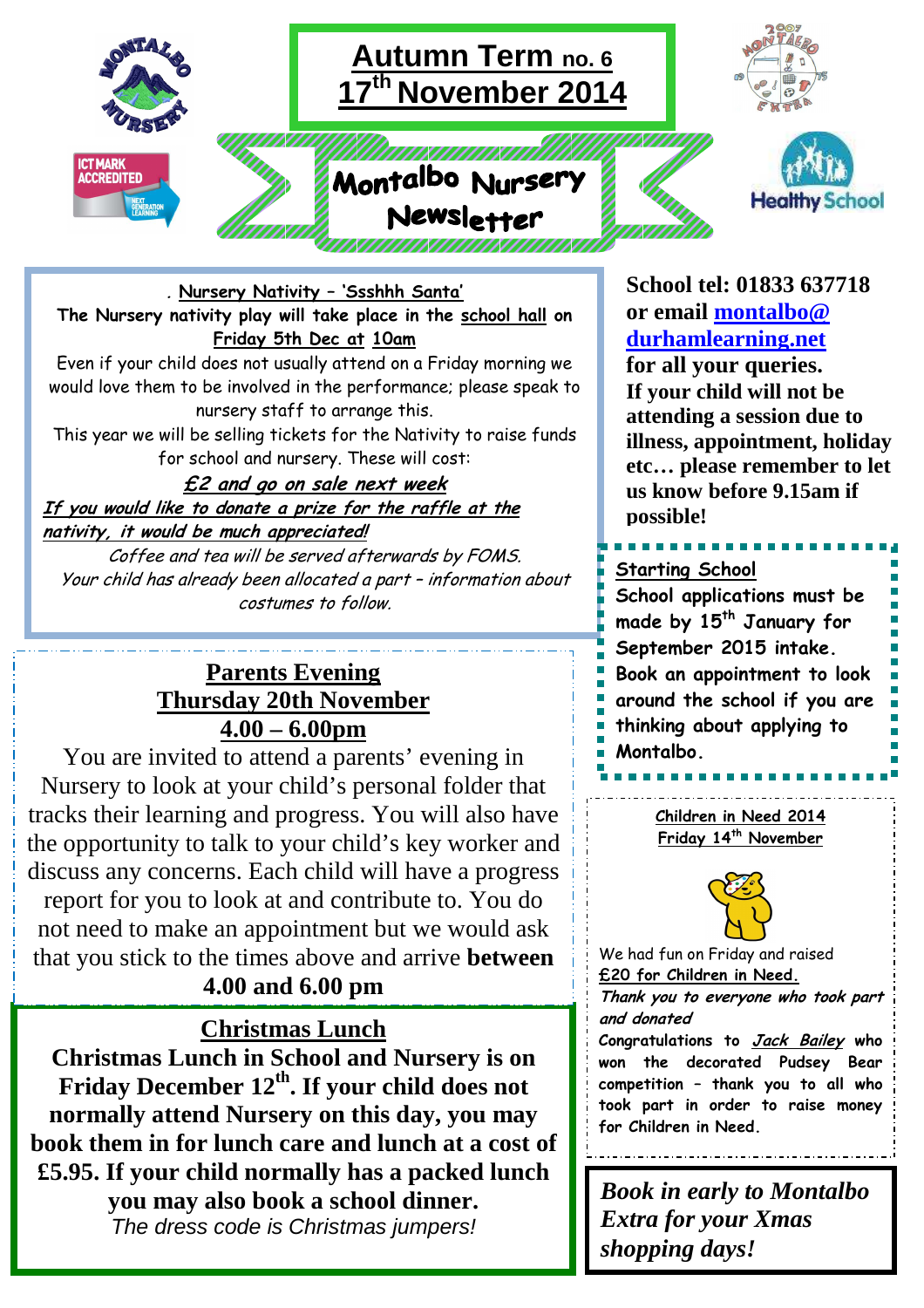

### **. Nursery Nativity – 'Ssshhh Santa' The Nursery nativity play will take place in the school hall on Friday 5th Dec at 10am**

Even if your child does not usually attend on a Friday morning we would love them to be involved in the performance; please speak to nursery staff to arrange this. This year we will be selling tickets for the Nativity to raise funds

for school and nursery. These will cost:

#### **£2 and go on sale next week If you would like to donate a prize for the raffle at the nativity, it would be much appreciated!**

Coffee and tea will be served afterwards by FOMS. Your child has already been allocated a part – information about costumes to follow.

## **Parents Evening Thursday 20th November 4.00 – 6.00pm**

You are invited to attend a parents' evening in Nursery to look at your child's personal folder that tracks their learning and progress. You will also have the opportunity to talk to your child's key worker and discuss any concerns. Each child will have a progress report for you to look at and contribute to. You do not need to make an appointment but we would ask

that you stick to the times above and arrive **between 4.00 and 6.00 pm**

## **Christmas Lunch**

**Christmas Lunch in School and Nursery is on Friday December 12th. If your child does not normally attend Nursery on this day, you may book them in for lunch care and lunch at a cost of £5.95. If your child normally has a packed lunch you may also book a school dinner.**  The dress code is Christmas jumpers!

**School tel: 01833 637718 or email montalbo@ durhamlearning.net for all your queries. If your child will not be attending a session due to illness, appointment, holiday etc… please remember to let us know before 9.15am if possible!**

# **Starting School**

**School applications must be made by 15th January for September 2015 intake. Book an appointment to look around the school if you are thinking about applying to Montalbo.** 

> **Children in Need 2014 Friday 14th November**



We had fun on Friday and raised **£20 for Children in Need.**

**Thank you to everyone who took part and donated** 

**Congratulations to Jack Bailey who won the decorated Pudsey Bear competition – thank you to all who took part in order to raise money for Children in Need.**

*Book in early to Montalbo Extra for your Xmas shopping days!*